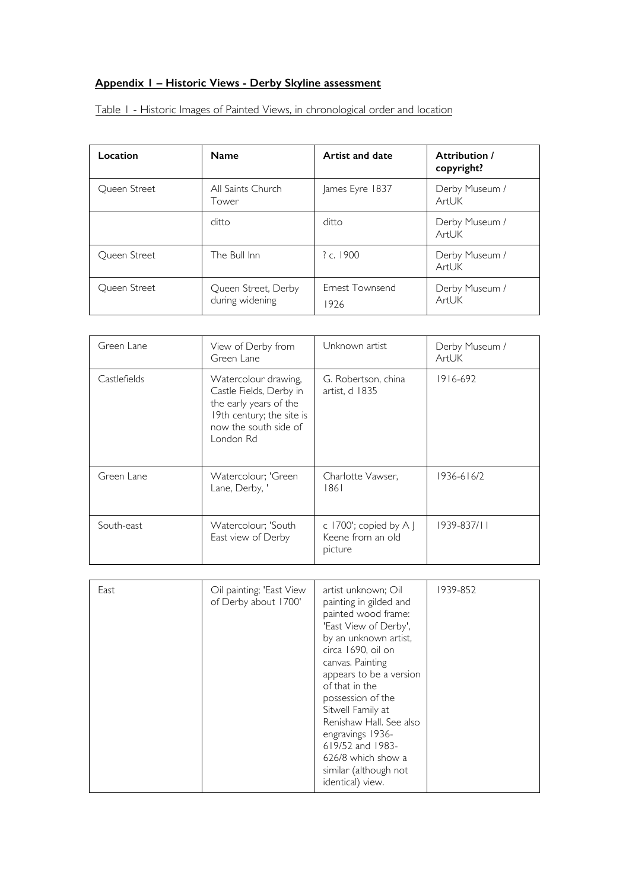# **Appendix 1 – Historic Views - Derby Skyline assessment**

Table 1 - Historic Images of Painted Views, in chronological order and location

| Location            | <b>Name</b>                            | Artist and date         | Attribution /<br>copyright? |
|---------------------|----------------------------------------|-------------------------|-----------------------------|
| <b>Oueen Street</b> | All Saints Church<br>Tower             | James Eyre 1837         | Derby Museum /<br>ArtUK     |
|                     | ditto                                  | ditto                   | Derby Museum /<br>ArtUK     |
| <b>Oueen Street</b> | The Bull Inn                           | ? c. $1900$             | Derby Museum /<br>ArtUK     |
| <b>Oueen Street</b> | Queen Street, Derby<br>during widening | Ernest Townsend<br>1926 | Derby Museum /<br>ArtUK     |

| Green Lane   | View of Derby from<br>Green Lane                                                                                                             | Unknown artist                                           | Derby Museum /<br>ArtUK |
|--------------|----------------------------------------------------------------------------------------------------------------------------------------------|----------------------------------------------------------|-------------------------|
| Castlefields | Watercolour drawing,<br>Castle Fields, Derby in<br>the early years of the<br>19th century; the site is<br>now the south side of<br>London Rd | G. Robertson, china<br>artist, d 1835                    | $1916 - 692$            |
| Green Lane   | Watercolour; 'Green<br>Lane, Derby, '                                                                                                        | Charlotte Vawser,<br>1861                                | $1936 - 616/2$          |
| South-east   | Watercolour; 'South<br>East view of Derby                                                                                                    | c 1700'; copied by $A$ J<br>Keene from an old<br>picture | 1939-837/11             |

| East | Oil painting, 'East View<br>of Derby about 1700' | artist unknown; Oil<br>painting in gilded and<br>painted wood frame:<br>'East View of Derby',<br>by an unknown artist,<br>circa 1690, oil on<br>canvas. Painting<br>appears to be a version<br>of that in the<br>possession of the<br>Sitwell Family at<br>Renishaw Hall. See also<br>engravings 1936-<br>619/52 and 1983-<br>626/8 which show a<br>similar (although not<br>identical) view. | 1939-852 |
|------|--------------------------------------------------|-----------------------------------------------------------------------------------------------------------------------------------------------------------------------------------------------------------------------------------------------------------------------------------------------------------------------------------------------------------------------------------------------|----------|
|------|--------------------------------------------------|-----------------------------------------------------------------------------------------------------------------------------------------------------------------------------------------------------------------------------------------------------------------------------------------------------------------------------------------------------------------------------------------------|----------|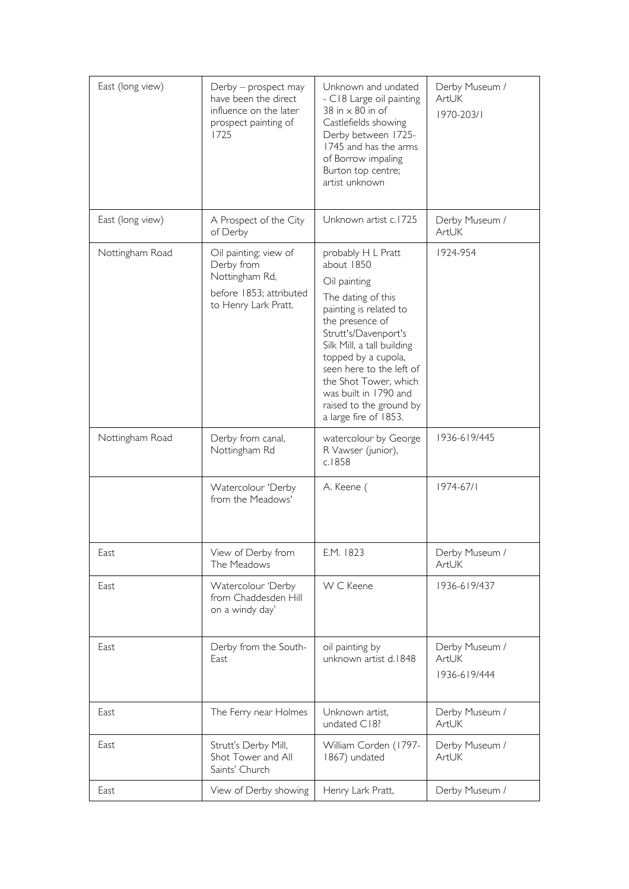| East (long view) | Derby - prospect may<br>have been the direct<br>influence on the later<br>prospect painting of<br>1725   | Unknown and undated<br>- C18 Large oil painting<br>38 in $\times$ 80 in of<br>Castlefields showing<br>Derby between 1725-<br>1745 and has the arms<br>of Borrow impaling<br>Burton top centre;<br>artist unknown                                                                                                                   | Derby Museum /<br>ArtUK<br>1970-203/1   |
|------------------|----------------------------------------------------------------------------------------------------------|------------------------------------------------------------------------------------------------------------------------------------------------------------------------------------------------------------------------------------------------------------------------------------------------------------------------------------|-----------------------------------------|
| East (long view) | A Prospect of the City<br>of Derby                                                                       | Unknown artist c.1725                                                                                                                                                                                                                                                                                                              | Derby Museum /<br>ArtUK                 |
| Nottingham Road  | Oil painting; view of<br>Derby from<br>Nottingham Rd,<br>before 1853; attributed<br>to Henry Lark Pratt. | probably H L Pratt<br>about 1850<br>Oil painting<br>The dating of this<br>painting is related to<br>the presence of<br>Strutt's/Davenport's<br>Silk Mill, a tall building<br>topped by a cupola,<br>seen here to the left of<br>the Shot Tower, which<br>was built in 1790 and<br>raised to the ground by<br>a large fire of 1853. | 1924-954                                |
| Nottingham Road  | Derby from canal,<br>Nottingham Rd                                                                       | watercolour by George<br>R Vawser (junior),<br>c.1858                                                                                                                                                                                                                                                                              | 1936-619/445                            |
|                  | Watercolour 'Derby<br>from the Meadows'                                                                  | A. Keene (                                                                                                                                                                                                                                                                                                                         | $1974 - 67/1$                           |
| East             | View of Derby from<br>The Meadows                                                                        | E.M. 1823                                                                                                                                                                                                                                                                                                                          | Derby Museum /<br><b>ArtUK</b>          |
| East             | Watercolour 'Derby<br>from Chaddesden Hill<br>on a windy day'                                            | W C Keene                                                                                                                                                                                                                                                                                                                          | 1936-619/437                            |
| East             | Derby from the South-<br>East                                                                            | oil painting by<br>unknown artist d.1848                                                                                                                                                                                                                                                                                           | Derby Museum /<br>ArtUK<br>1936-619/444 |
| East             | The Ferry near Holmes                                                                                    | Unknown artist,<br>undated C18?                                                                                                                                                                                                                                                                                                    | Derby Museum /<br>ArtUK                 |
| East             | Strutt's Derby Mill,<br>Shot Tower and All<br>Saints' Church                                             | William Corden (1797-<br>1867) undated                                                                                                                                                                                                                                                                                             | Derby Museum /<br>ArtUK                 |
| East             | View of Derby showing                                                                                    | Henry Lark Pratt,                                                                                                                                                                                                                                                                                                                  | Derby Museum /                          |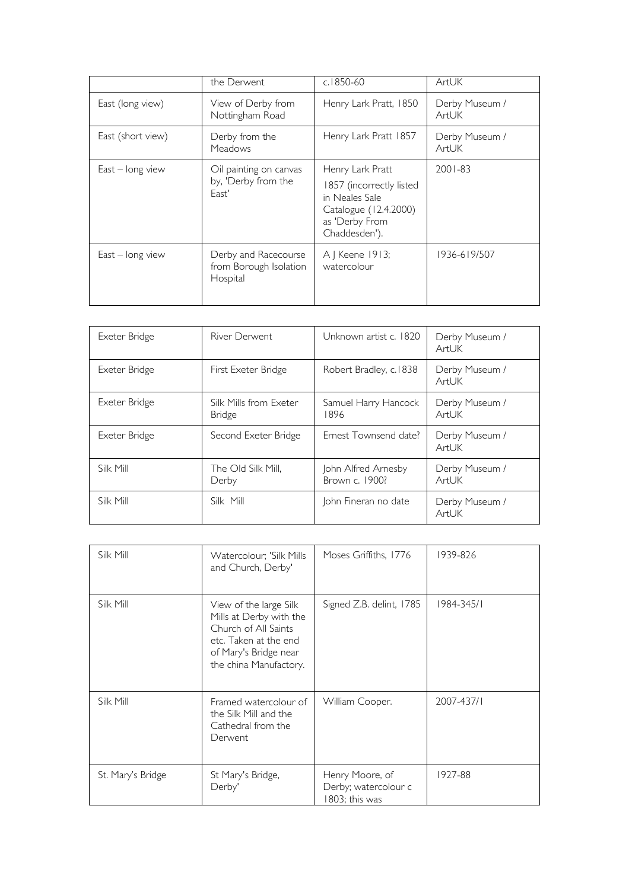|                    | the Derwent                                                | c.1850-60                                                                                              | ArtUK                   |
|--------------------|------------------------------------------------------------|--------------------------------------------------------------------------------------------------------|-------------------------|
| East (long view)   | View of Derby from<br>Nottingham Road                      | Henry Lark Pratt, 1850                                                                                 | Derby Museum /<br>ArtUK |
| East (short view)  | Derby from the<br><b>Meadows</b>                           | Henry Lark Pratt 1857                                                                                  | Derby Museum /<br>ArtUK |
| $East - long view$ | Oil painting on canvas                                     | Henry Lark Pratt                                                                                       | $2001 - 83$             |
|                    | by, 'Derby from the<br>East'                               | 1857 (incorrectly listed<br>in Neales Sale<br>Catalogue (12.4.2000)<br>as 'Derby From<br>Chaddesden'). |                         |
| $East - long view$ | Derby and Racecourse<br>from Borough Isolation<br>Hospital | A   Keene 1913;<br>watercolour                                                                         | 1936-619/507            |

| Exeter Bridge | River Derwent                           | Unknown artist c. 1820                | Derby Museum /<br>ArtUK |
|---------------|-----------------------------------------|---------------------------------------|-------------------------|
| Exeter Bridge | First Exeter Bridge                     | Robert Bradley, c.1838                | Derby Museum /<br>ArtUK |
| Exeter Bridge | Silk Mills from Exeter<br><b>Bridge</b> | Samuel Harry Hancock<br>1896          | Derby Museum /<br>ArtUK |
| Exeter Bridge | Second Exeter Bridge                    | Ernest Townsend date?                 | Derby Museum /<br>ArtUK |
| Silk Mill     | The Old Silk Mill,<br>Derby             | John Alfred Arnesby<br>Brown c. 1900? | Derby Museum /<br>ArtUK |
| Silk Mill     | Silk Mill                               | John Fineran no date                  | Derby Museum /<br>ArtUK |

| Silk Mill         | Watercolour; 'Silk Mills<br>and Church, Derby'                                                                                                        | Moses Griffiths, 1776                                    | 1939-826   |
|-------------------|-------------------------------------------------------------------------------------------------------------------------------------------------------|----------------------------------------------------------|------------|
| Silk Mill         | View of the large Silk<br>Mills at Derby with the<br>Church of All Saints<br>etc. Taken at the end<br>of Mary's Bridge near<br>the china Manufactory. | Signed Z.B. delint, 1785                                 | 1984-345/1 |
| Silk Mill         | Framed watercolour of<br>the Silk Mill and the<br>Cathedral from the<br>Derwent                                                                       | William Cooper.                                          | 2007-437/1 |
| St. Mary's Bridge | St Mary's Bridge,<br>Derby'                                                                                                                           | Henry Moore, of<br>Derby; watercolour c<br>803; this was | 1927-88    |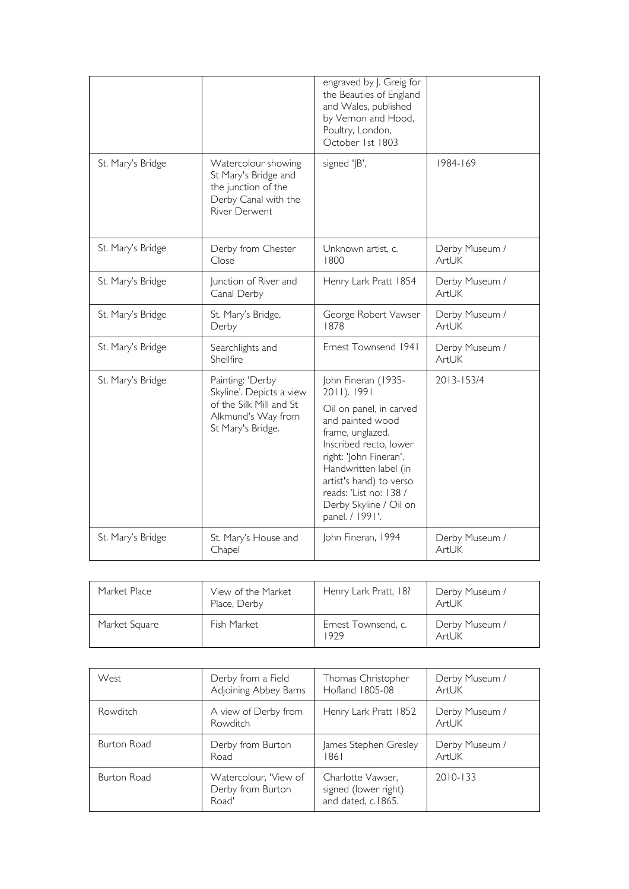|                   |                                                                                                                    | engraved by J. Greig for<br>the Beauties of England<br>and Wales, published<br>by Vernon and Hood,<br>Poultry, London,<br>October 1st 1803                                                                                                                                           |                         |
|-------------------|--------------------------------------------------------------------------------------------------------------------|--------------------------------------------------------------------------------------------------------------------------------------------------------------------------------------------------------------------------------------------------------------------------------------|-------------------------|
| St. Mary's Bridge | Watercolour showing<br>St Mary's Bridge and<br>the junction of the<br>Derby Canal with the<br><b>River Derwent</b> | signed 'JB',                                                                                                                                                                                                                                                                         | 1984-169                |
| St. Mary's Bridge | Derby from Chester<br>Close                                                                                        | Unknown artist, c.<br>1800                                                                                                                                                                                                                                                           | Derby Museum /<br>ArtUK |
| St. Mary's Bridge | Junction of River and<br>Canal Derby                                                                               | Henry Lark Pratt 1854                                                                                                                                                                                                                                                                | Derby Museum /<br>ArtUK |
| St. Mary's Bridge | St. Mary's Bridge,<br>Derby                                                                                        | George Robert Vawser<br>1878                                                                                                                                                                                                                                                         | Derby Museum /<br>ArtUK |
| St. Mary's Bridge | Searchlights and<br>Shellfire                                                                                      | Ernest Townsend 1941                                                                                                                                                                                                                                                                 | Derby Museum /<br>ArtUK |
| St. Mary's Bridge | Painting: 'Derby<br>Skyline'. Depicts a view<br>of the Silk Mill and St<br>Alkmund's Way from<br>St Mary's Bridge. | John Fineran (1935-<br>2011). 1991<br>Oil on panel, in carved<br>and painted wood<br>frame, unglazed.<br>Inscribed recto, lower<br>right: 'John Fineran'.<br>Handwritten label (in<br>artist's hand) to verso<br>reads: 'List no: 138 /<br>Derby Skyline / Oil on<br>panel. / 1991'. | 2013-153/4              |
| St. Mary's Bridge | St. Mary's House and<br>Chapel                                                                                     | John Fineran, 1994                                                                                                                                                                                                                                                                   | Derby Museum /<br>ArtUK |

| Market Place  | View of the Market<br>Place, Derby | Henry Lark Pratt, 18?       | Derby Museum /<br>ArtUK |
|---------------|------------------------------------|-----------------------------|-------------------------|
| Market Square | Fish Market                        | Ernest Townsend, c.<br>1979 | Derby Museum /<br>ArtUK |

| West        | Derby from a Field                                  | Thomas Christopher                                              | Derby Museum /          |
|-------------|-----------------------------------------------------|-----------------------------------------------------------------|-------------------------|
|             | Adjoining Abbey Barns                               | Hofland 1805-08                                                 | ArtUK                   |
| Rowditch    | A view of Derby from<br>Rowditch                    | Henry Lark Pratt 1852                                           | Derby Museum /<br>ArtUK |
| Burton Road | Derby from Burton                                   | James Stephen Gresley                                           | Derby Museum /          |
|             | Road                                                | 1861                                                            | ArtUK                   |
| Burton Road | Watercolour, 'View of<br>Derby from Burton<br>Road' | Charlotte Vawser,<br>signed (lower right)<br>and dated, c.1865. | $2010 - 133$            |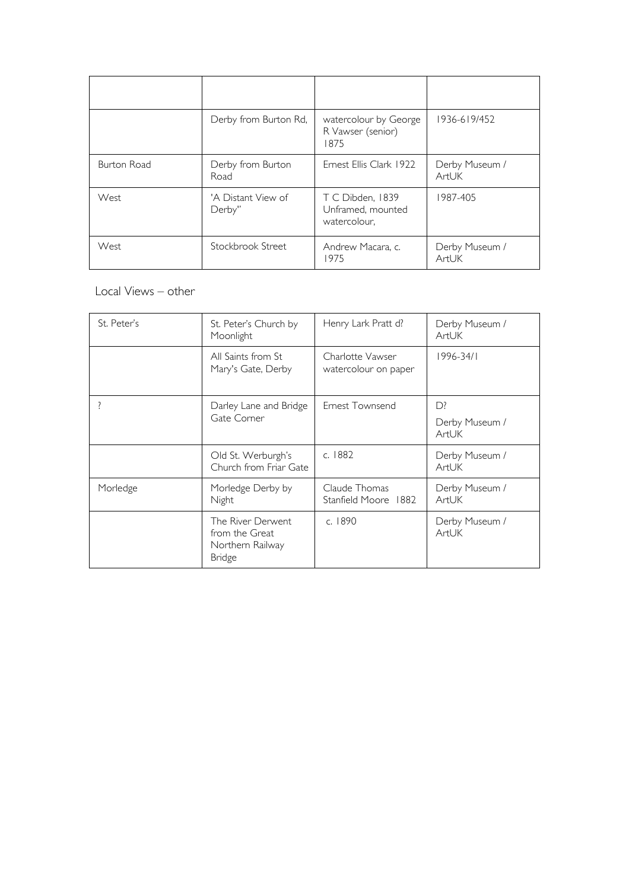|                    | Derby from Burton Rd,        | watercolour by George<br>R Vawser (senior)<br>1875    | 1936-619/452            |
|--------------------|------------------------------|-------------------------------------------------------|-------------------------|
| <b>Burton Road</b> | Derby from Burton<br>Road    | Ernest Ellis Clark 1922                               | Derby Museum /<br>ArtUK |
| West               | 'A Distant View of<br>Derby" | T C Dibden, 1839<br>Unframed, mounted<br>watercolour, | 1987-405                |
| West               | Stockbrook Street            | Andrew Macara, c.<br>1975                             | Derby Museum /<br>ArtUK |

## Local Views – other

| St. Peter's | St. Peter's Church by<br>Moonlight                                       | Henry Lark Pratt d?                      | Derby Museum /<br>ArtUK       |
|-------------|--------------------------------------------------------------------------|------------------------------------------|-------------------------------|
|             | All Saints from St<br>Mary's Gate, Derby                                 | Charlotte Vawser<br>watercolour on paper | 1996-34/1                     |
|             | Darley Lane and Bridge<br>Gate Corner                                    | Ernest Townsend                          | D?<br>Derby Museum /<br>ArtUK |
|             | Old St. Werburgh's<br>Church from Friar Gate                             | c. 1882                                  | Derby Museum /<br>ArtUK       |
| Morledge    | Morledge Derby by<br>Night                                               | Claude Thomas<br>Stanfield Moore 1882    | Derby Museum /<br>ArtUK       |
|             | The River Derwent<br>from the Great<br>Northern Railway<br><b>Bridge</b> | c. 1890                                  | Derby Museum /<br>ArtUK       |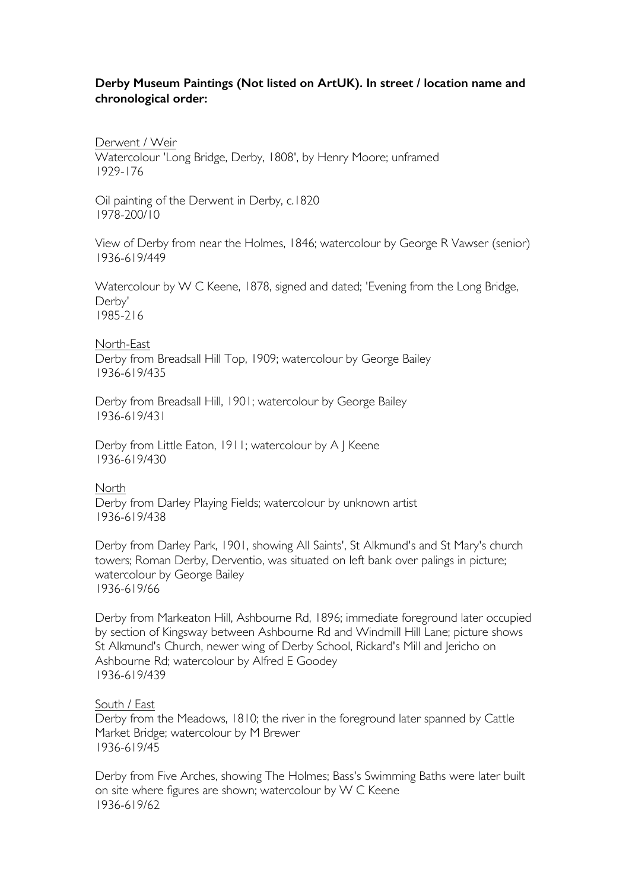#### **Derby Museum Paintings (Not listed on ArtUK). In street / location name and chronological order:**

Derwent / Weir

Watercolour 'Long Bridge, Derby, 1808', by Henry Moore; unframed 1929-176

Oil painting of the Derwent in Derby, c.1820 1978-200/10

View of Derby from near the Holmes, 1846; watercolour by George R Vawser (senior) 1936-619/449

Watercolour by W C Keene, 1878, signed and dated; 'Evening from the Long Bridge, Derby' 1985-216

North-East Derby from Breadsall Hill Top, 1909; watercolour by George Bailey 1936-619/435

Derby from Breadsall Hill, 1901; watercolour by George Bailey 1936-619/431

Derby from Little Eaton, 1911; watercolour by A J Keene 1936-619/430

North

Derby from Darley Playing Fields; watercolour by unknown artist 1936-619/438

Derby from Darley Park, 1901, showing All Saints', St Alkmund's and St Mary's church towers; Roman Derby, Derventio, was situated on left bank over palings in picture; watercolour by George Bailey 1936-619/66

Derby from Markeaton Hill, Ashbourne Rd, 1896; immediate foreground later occupied by section of Kingsway between Ashbourne Rd and Windmill Hill Lane; picture shows St Alkmund's Church, newer wing of Derby School, Rickard's Mill and Jericho on Ashbourne Rd; watercolour by Alfred E Goodey 1936-619/439

South / East

Derby from the Meadows, 1810; the river in the foreground later spanned by Cattle Market Bridge; watercolour by M Brewer 1936-619/45

Derby from Five Arches, showing The Holmes; Bass's Swimming Baths were later built on site where figures are shown; watercolour by W C Keene 1936-619/62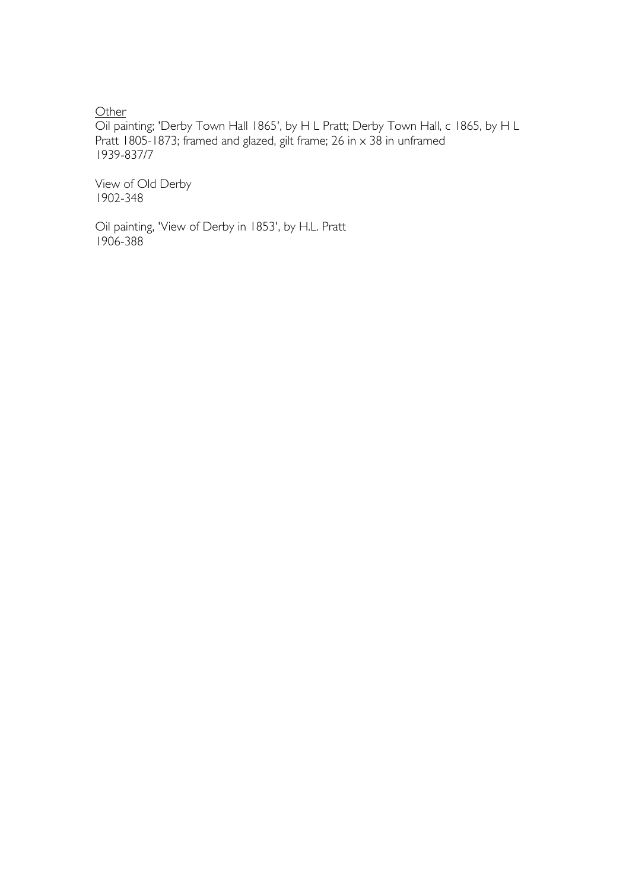**Other** 

Oil painting; 'Derby Town Hall 1865', by H L Pratt; Derby Town Hall, c 1865, by H L Pratt 1805-1873; framed and glazed, gilt frame; 26 in  $\times$  38 in unframed 1939-837/7

View of Old Derby 1902-348

Oil painting, 'View of Derby in 1853', by H.L. Pratt 1906-388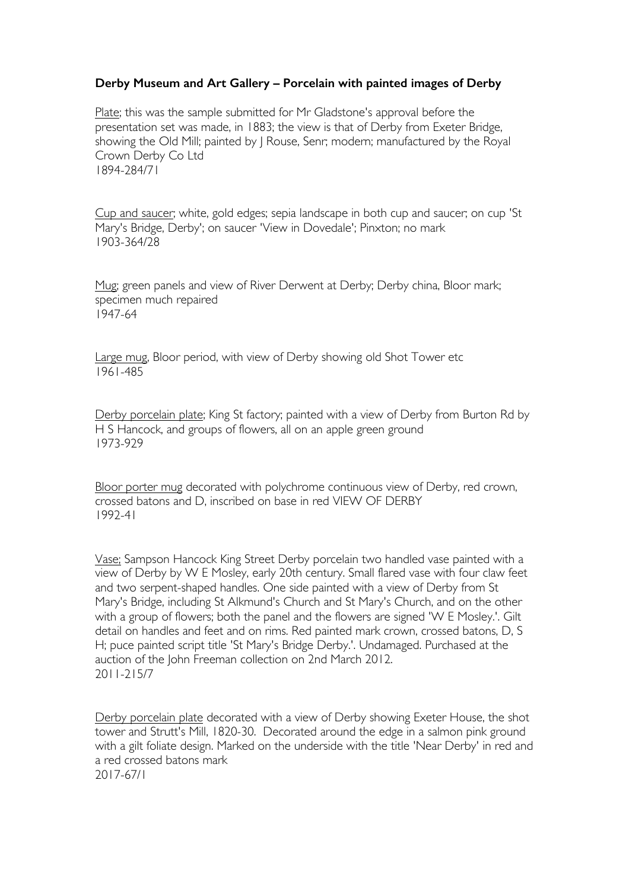## **Derby Museum and Art Gallery – Porcelain with painted images of Derby**

Plate; this was the sample submitted for Mr Gladstone's approval before the presentation set was made, in 1883; the view is that of Derby from Exeter Bridge, showing the Old Mill; painted by | Rouse, Senr; modern; manufactured by the Royal Crown Derby Co Ltd 1894-284/71

Cup and saucer; white, gold edges; sepia landscape in both cup and saucer; on cup 'St Mary's Bridge, Derby'; on saucer 'View in Dovedale'; Pinxton; no mark 1903-364/28

Mug; green panels and view of River Derwent at Derby; Derby china, Bloor mark; specimen much repaired 1947-64

Large mug, Bloor period, with view of Derby showing old Shot Tower etc 1961-485

Derby porcelain plate; King St factory; painted with a view of Derby from Burton Rd by H S Hancock, and groups of flowers, all on an apple green ground 1973-929

Bloor porter mug decorated with polychrome continuous view of Derby, red crown, crossed batons and D, inscribed on base in red VIEW OF DERBY 1992-41

Vase; Sampson Hancock King Street Derby porcelain two handled vase painted with a view of Derby by W E Mosley, early 20th century. Small flared vase with four claw feet and two serpent-shaped handles. One side painted with a view of Derby from St Mary's Bridge, including St Alkmund's Church and St Mary's Church, and on the other with a group of flowers; both the panel and the flowers are signed 'W E Mosley.'. Gilt detail on handles and feet and on rims. Red painted mark crown, crossed batons, D, S H; puce painted script title 'St Mary's Bridge Derby.'. Undamaged. Purchased at the auction of the John Freeman collection on 2nd March 2012. 2011-215/7

Derby porcelain plate decorated with a view of Derby showing Exeter House, the shot tower and Strutt's Mill, 1820-30. Decorated around the edge in a salmon pink ground with a gilt foliate design. Marked on the underside with the title 'Near Derby' in red and a red crossed batons mark 2017-67/1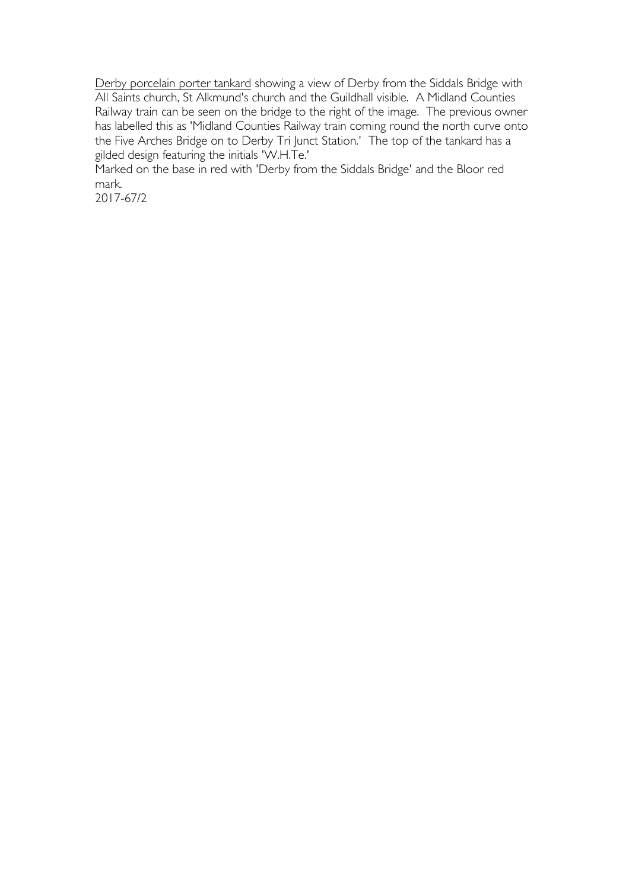Derby porcelain porter tankard showing a view of Derby from the Siddals Bridge with All Saints church, St Alkmund's church and the Guildhall visible. A Midland Counties Railway train can be seen on the bridge to the right of the image. The previous owner has labelled this as 'Midland Counties Railway train coming round the north curve onto the Five Arches Bridge on to Derby Tri Junct Station.' The top of the tankard has a gilded design featuring the initials 'W.H.Te.'

Marked on the base in red with 'Derby from the Siddals Bridge' and the Bloor red mark.

2017-67/2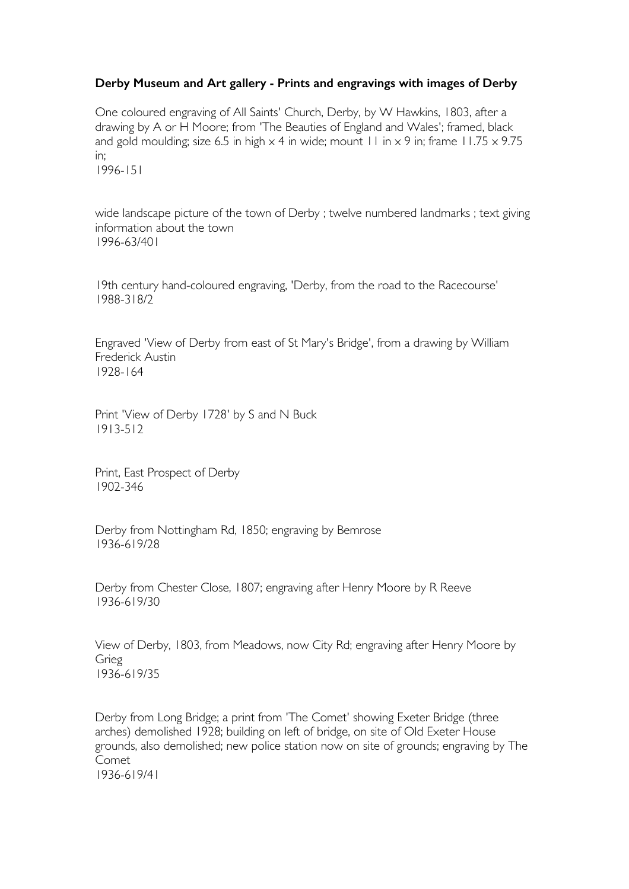## **Derby Museum and Art gallery - Prints and engravings with images of Derby**

One coloured engraving of All Saints' Church, Derby, by W Hawkins, 1803, after a drawing by A or H Moore; from 'The Beauties of England and Wales'; framed, black and gold moulding; size 6.5 in high  $\times$  4 in wide; mount 11 in  $\times$  9 in; frame 11.75  $\times$  9.75 in; 1996-151

wide landscape picture of the town of Derby ; twelve numbered landmarks ; text giving information about the town 1996-63/401

19th century hand-coloured engraving, 'Derby, from the road to the Racecourse' 1988-318/2

Engraved 'View of Derby from east of St Mary's Bridge', from a drawing by William Frederick Austin 1928-164

Print 'View of Derby 1728' by S and N Buck 1913-512

Print, East Prospect of Derby 1902-346

Derby from Nottingham Rd, 1850; engraving by Bemrose 1936-619/28

Derby from Chester Close, 1807; engraving after Henry Moore by R Reeve 1936-619/30

View of Derby, 1803, from Meadows, now City Rd; engraving after Henry Moore by Grieg 1936-619/35

Derby from Long Bridge; a print from 'The Comet' showing Exeter Bridge (three arches) demolished 1928; building on left of bridge, on site of Old Exeter House grounds, also demolished; new police station now on site of grounds; engraving by The Comet 1936-619/41